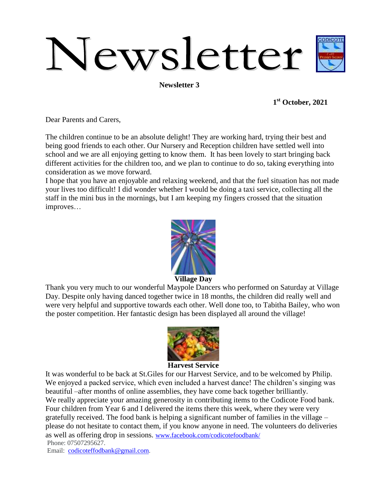# Newsletter

**Newsletter 3**

**1 st October, 2021**

Dear Parents and Carers,

The children continue to be an absolute delight! They are working hard, trying their best and being good friends to each other. Our Nursery and Reception children have settled well into school and we are all enjoying getting to know them. It has been lovely to start bringing back different activities for the children too, and we plan to continue to do so, taking everything into consideration as we move forward.

I hope that you have an enjoyable and relaxing weekend, and that the fuel situation has not made your lives too difficult! I did wonder whether I would be doing a taxi service, collecting all the staff in the mini bus in the mornings, but I am keeping my fingers crossed that the situation improves…



**Village Day**

Thank you very much to our wonderful Maypole Dancers who performed on Saturday at Village Day. Despite only having danced together twice in 18 months, the children did really well and were very helpful and supportive towards each other. Well done too, to Tabitha Bailey, who won the poster competition. Her fantastic design has been displayed all around the village!



#### **Harvest Service**

It was wonderful to be back at St.Giles for our Harvest Service, and to be welcomed by Philip. We enjoyed a packed service, which even included a harvest dance! The children's singing was beautiful –after months of online assemblies, they have come back together brilliantly. We really appreciate your amazing generosity in contributing items to the Codicote Food bank. Four children from Year 6 and I delivered the items there this week, where they were very gratefully received. The food bank is helping a significant number of families in the village – please do not hesitate to contact them, if you know anyone in need. The volunteers do deliveries as well as offering drop in sessions. [www.facebook.com/codicotefoodbank/](http://www.facebook.com/codicotefoodbank/) Phone: 07507295627.

Email: [codicoteffodbank@gmail.com.](mailto:codicoteffodbank@gmail.com)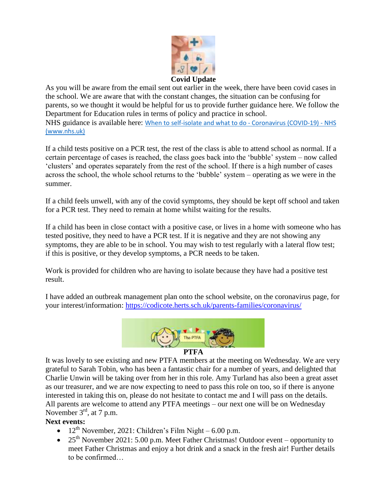

As you will be aware from the email sent out earlier in the week, there have been covid cases in the school. We are aware that with the constant changes, the situation can be confusing for parents, so we thought it would be helpful for us to provide further guidance here. We follow the Department for Education rules in terms of policy and practice in school. NHS guidance is available here: When to self-isolate and what to do - [Coronavirus](https://www.nhs.uk/conditions/coronavirus-covid-19/self-isolation-and-treatment/when-to-self-isolate-and-what-to-do/) (COVID-19) - NHS [\(www.nhs.uk\)](https://www.nhs.uk/conditions/coronavirus-covid-19/self-isolation-and-treatment/when-to-self-isolate-and-what-to-do/)

If a child tests positive on a PCR test, the rest of the class is able to attend school as normal. If a certain percentage of cases is reached, the class goes back into the 'bubble' system – now called 'clusters' and operates separately from the rest of the school. If there is a high number of cases across the school, the whole school returns to the 'bubble' system – operating as we were in the summer.

If a child feels unwell, with any of the covid symptoms, they should be kept off school and taken for a PCR test. They need to remain at home whilst waiting for the results.

If a child has been in close contact with a positive case, or lives in a home with someone who has tested positive, they need to have a PCR test. If it is negative and they are not showing any symptoms, they are able to be in school. You may wish to test regularly with a lateral flow test; if this is positive, or they develop symptoms, a PCR needs to be taken.

Work is provided for children who are having to isolate because they have had a positive test result.

I have added an outbreak management plan onto the school website, on the coronavirus page, for your interest/information:<https://codicote.herts.sch.uk/parents-families/coronavirus/>



## **PTFA**

It was lovely to see existing and new PTFA members at the meeting on Wednesday. We are very grateful to Sarah Tobin, who has been a fantastic chair for a number of years, and delighted that Charlie Unwin will be taking over from her in this role. Amy Turland has also been a great asset as our treasurer, and we are now expecting to need to pass this role on too, so if there is anyone interested in taking this on, please do not hesitate to contact me and I will pass on the details. All parents are welcome to attend any PTFA meetings – our next one will be on Wednesday November  $3<sup>rd</sup>$ , at 7 p.m.

# **Next events:**

- $12^{th}$  November, 2021: Children's Film Night 6.00 p.m.
- $25<sup>th</sup>$  November 2021: 5.00 p.m. Meet Father Christmas! Outdoor event opportunity to meet Father Christmas and enjoy a hot drink and a snack in the fresh air! Further details to be confirmed…